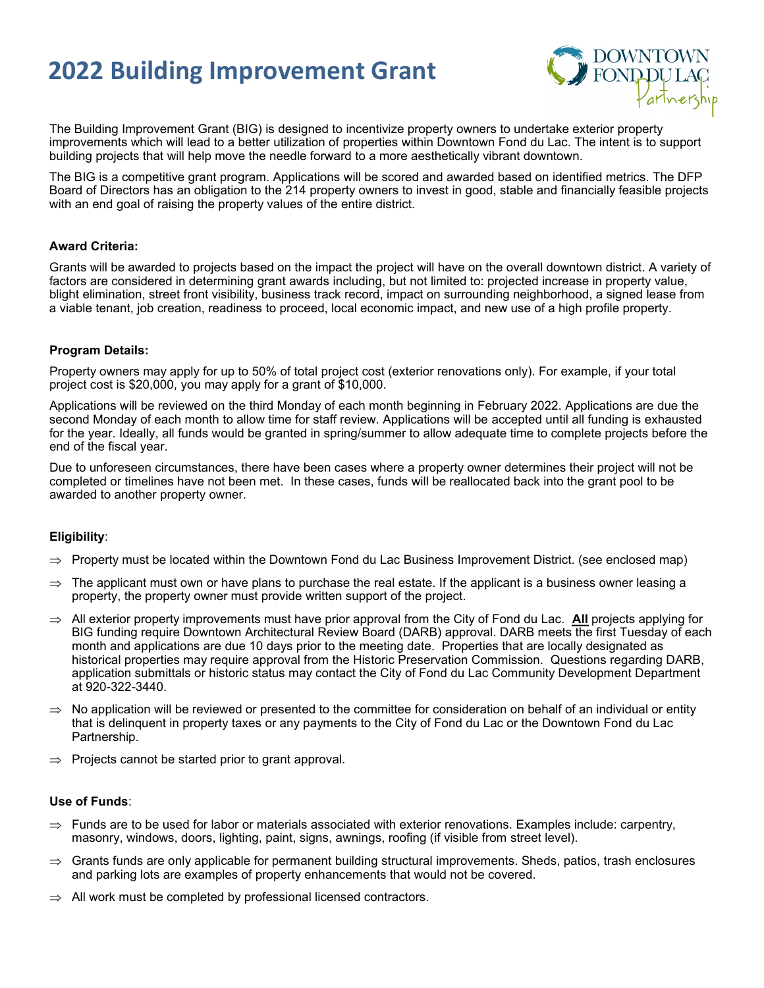## **2022 Building Improvement Grant**



The Building Improvement Grant (BIG) is designed to incentivize property owners to undertake exterior property improvements which will lead to a better utilization of properties within Downtown Fond du Lac. The intent is to support building projects that will help move the needle forward to a more aesthetically vibrant downtown.

The BIG is a competitive grant program. Applications will be scored and awarded based on identified metrics. The DFP Board of Directors has an obligation to the 214 property owners to invest in good, stable and financially feasible projects with an end goal of raising the property values of the entire district.

#### **Award Criteria:**

Grants will be awarded to projects based on the impact the project will have on the overall downtown district. A variety of factors are considered in determining grant awards including, but not limited to: projected increase in property value, blight elimination, street front visibility, business track record, impact on surrounding neighborhood, a signed lease from a viable tenant, job creation, readiness to proceed, local economic impact, and new use of a high profile property.

#### **Program Details:**

Property owners may apply for up to 50% of total project cost (exterior renovations only). For example, if your total project cost is \$20,000, you may apply for a grant of \$10,000.

Applications will be reviewed on the third Monday of each month beginning in February 2022. Applications are due the second Monday of each month to allow time for staff review. Applications will be accepted until all funding is exhausted for the year. Ideally, all funds would be granted in spring/summer to allow adequate time to complete projects before the end of the fiscal year.

Due to unforeseen circumstances, there have been cases where a property owner determines their project will not be completed or timelines have not been met. In these cases, funds will be reallocated back into the grant pool to be awarded to another property owner.

## **Eligibility**:

- ⇒ Property must be located within the Downtown Fond du Lac Business Improvement District. (see enclosed map)
- The applicant must own or have plans to purchase the real estate. If the applicant is a business owner leasing a property, the property owner must provide written support of the project.
- ⇒ All exterior property improvements must have prior approval from the City of Fond du Lac. **All** projects applying for BIG funding require Downtown Architectural Review Board (DARB) approval. DARB meets the first Tuesday of each month and applications are due 10 days prior to the meeting date. Properties that are locally designated as historical properties may require approval from the Historic Preservation Commission. Questions regarding DARB, application submittals or historic status may contact the City of Fond du Lac Community Development Department at 920-322-3440.
- $\Rightarrow$  No application will be reviewed or presented to the committee for consideration on behalf of an individual or entity that is delinquent in property taxes or any payments to the City of Fond du Lac or the Downtown Fond du Lac Partnership.
- $\Rightarrow$  Projects cannot be started prior to grant approval.

#### **Use of Funds**:

- $\Rightarrow$  Funds are to be used for labor or materials associated with exterior renovations. Examples include: carpentry, masonry, windows, doors, lighting, paint, signs, awnings, roofing (if visible from street level).
- $\Rightarrow$  Grants funds are only applicable for permanent building structural improvements. Sheds, patios, trash enclosures and parking lots are examples of property enhancements that would not be covered.
- All work must be completed by professional licensed contractors.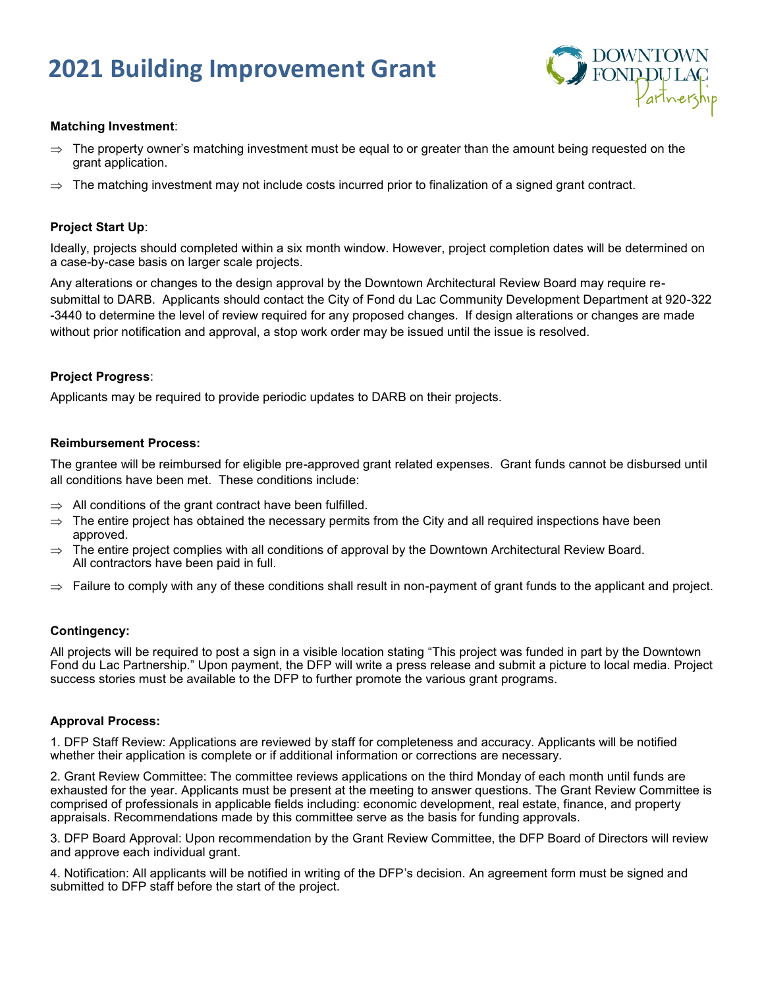# **2021 Building Improvement Grant**



#### **Matching Investment**:

- $\Rightarrow$  The property owner's matching investment must be equal to or greater than the amount being requested on the grant application.
- $\Rightarrow$  The matching investment may not include costs incurred prior to finalization of a signed grant contract.

#### **Project Start Up**:

Ideally, projects should completed within a six month window. However, project completion dates will be determined on a case-by-case basis on larger scale projects.

Any alterations or changes to the design approval by the Downtown Architectural Review Board may require resubmittal to DARB. Applicants should contact the City of Fond du Lac Community Development Department at 920-322 -3440 to determine the level of review required for any proposed changes. If design alterations or changes are made without prior notification and approval, a stop work order may be issued until the issue is resolved.

#### **Project Progress**:

Applicants may be required to provide periodic updates to DARB on their projects.

#### **Reimbursement Process:**

The grantee will be reimbursed for eligible pre-approved grant related expenses. Grant funds cannot be disbursed until all conditions have been met. These conditions include:

- $\Rightarrow$  All conditions of the grant contract have been fulfilled.
- $\Rightarrow$  The entire project has obtained the necessary permits from the City and all required inspections have been approved.
- $\Rightarrow$  The entire project complies with all conditions of approval by the Downtown Architectural Review Board. All contractors have been paid in full.
- $\Rightarrow$  Failure to comply with any of these conditions shall result in non-payment of grant funds to the applicant and project.

### **Contingency:**

All projects will be required to post a sign in a visible location stating "This project was funded in part by the Downtown Fond du Lac Partnership." Upon payment, the DFP will write a press release and submit a picture to local media. Project success stories must be available to the DFP to further promote the various grant programs.

#### **Approval Process:**

1. DFP Staff Review: Applications are reviewed by staff for completeness and accuracy. Applicants will be notified whether their application is complete or if additional information or corrections are necessary.

2. Grant Review Committee: The committee reviews applications on the third Monday of each month until funds are exhausted for the year. Applicants must be present at the meeting to answer questions. The Grant Review Committee is comprised of professionals in applicable fields including: economic development, real estate, finance, and property appraisals. Recommendations made by this committee serve as the basis for funding approvals.

3. DFP Board Approval: Upon recommendation by the Grant Review Committee, the DFP Board of Directors will review and approve each individual grant.

4. Notification: All applicants will be notified in writing of the DFP's decision. An agreement form must be signed and submitted to DFP staff before the start of the project.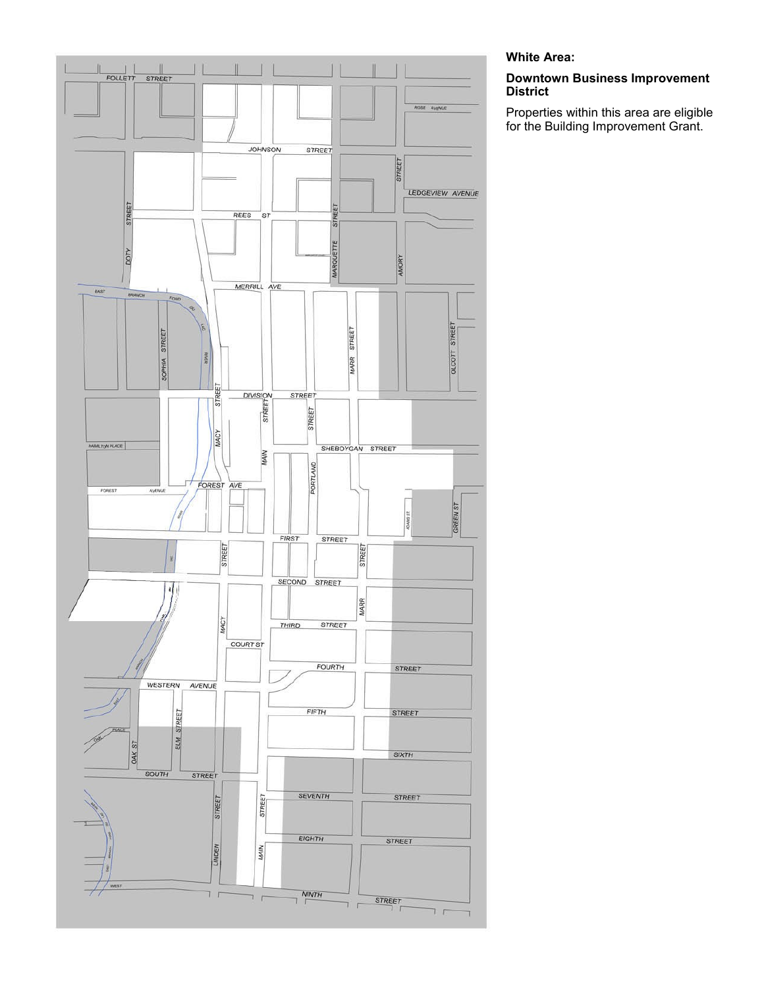

### **White Area:**

#### **Downtown Business Improvement District**

Properties within this area are eligible for the Building Improvement Grant.